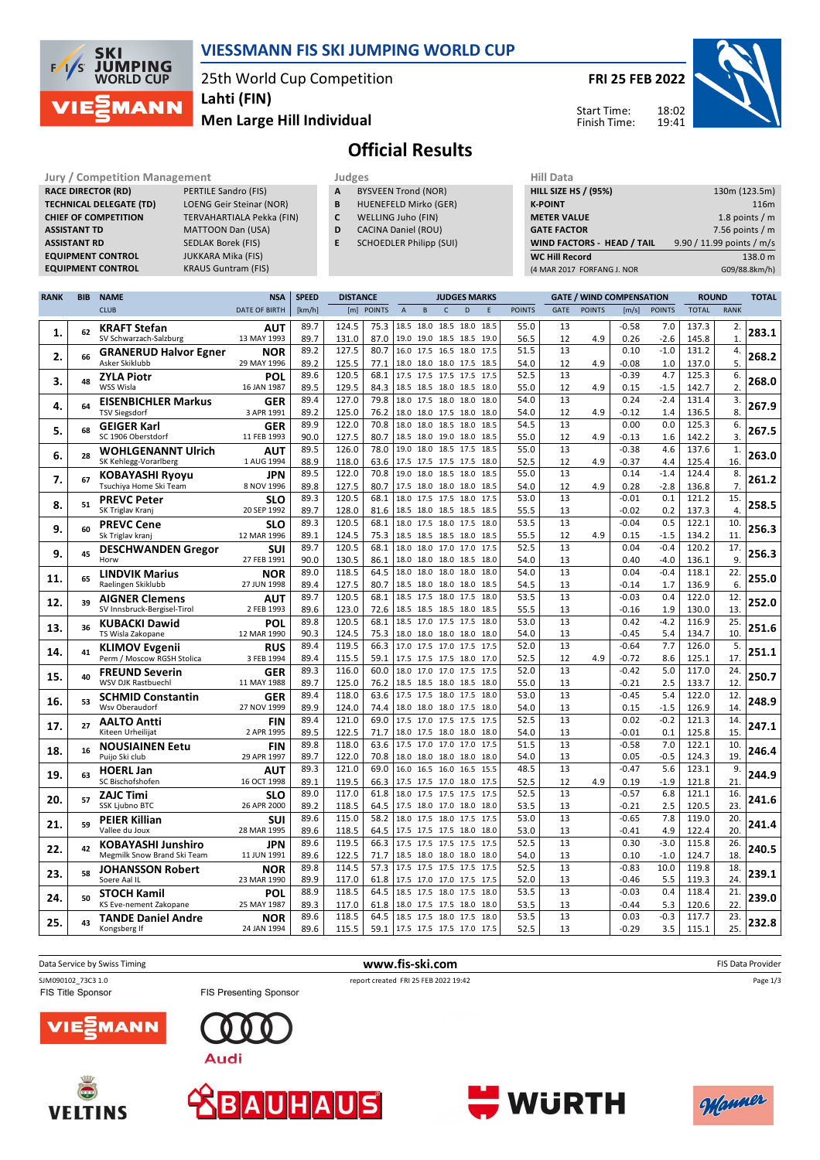

### **VIESSMANN FIS SKI JUMPING WORLD CUP**

25th World Cup Competition

**Lahti (FIN)**

**Men Large Hill Individual**

**FRI 25 FEB 2022**



Start Time: Finish Time:

# **Official Results**

### **Jury / Competition Management Judges Judges Hill Data**<br> **RACE DIRECTOR (RD)** PERTILE Sandro (FIS) **A** BYSVEEN Trond (NOR) **HILL SIZE F RACE DIRECTOR (RD) ASSISTANT TD** MATTOON Dan (USA) **ASSISTANT RD** SEDLAK Borek (FIS)<br>**EQUIPMENT CONTROL** JUKKARA Mika (FIS) **EQUIPMENT CONTROL**<br>**EQUIPMENT CONTROL**

**TECHNICAL DELEGATE (TD)** LOENG Geir Steinar (NOR) **CHIEF OF COMPETITION** TERVAHARTIALA Pekka (FIN) **KRAUS Guntram (FIS)** 

- **A** BYSVEEN Trond (NOR)
- **B** HUENEFELD Mirko (GER)
- **C** WELLING Juho (FIN)
- **D** CACINA Daniel (ROU)
- **E** SCHOEDLER Philipp (SUI)

| Hill Data                         |                           |
|-----------------------------------|---------------------------|
| <b>HILL SIZE HS / (95%)</b>       | 130m (123.5m)             |
| <b>K-POINT</b>                    | 116m                      |
| <b>METER VALUE</b>                | 1.8 points $/m$           |
| <b>GATE FACTOR</b>                | 7.56 points $/m$          |
| <b>WIND FACTORS - HEAD / TAIL</b> | 9.90 / 11.99 points / m/s |
| <b>WC Hill Record</b>             | 138.0 m                   |
| (4 MAR 2017 FORFANG J. NOR        | G09/88.8km/h)             |
|                                   |                           |

| <b>RANK</b> | <b>BIB</b> | <b>NAME</b>                                    | <b>NSA</b>                | <b>SPEED</b> | <b>DISTANCE</b> |               | <b>JUDGES MARKS</b> |                     |              |                          |      |               | <b>GATE / WIND COMPENSATION</b> |               | <b>ROUND</b> |               | <b>TOTAL</b>   |                |       |
|-------------|------------|------------------------------------------------|---------------------------|--------------|-----------------|---------------|---------------------|---------------------|--------------|--------------------------|------|---------------|---------------------------------|---------------|--------------|---------------|----------------|----------------|-------|
|             |            | <b>CLUB</b>                                    | <b>DATE OF BIRTH</b>      | [km/h]       | [m]             | <b>POINTS</b> | $\overline{A}$      | B                   | $\mathsf{C}$ | D                        | E    | <b>POINTS</b> | <b>GATE</b>                     | <b>POINTS</b> | [m/s]        | <b>POINTS</b> | <b>TOTAL</b>   | <b>RANK</b>    |       |
|             |            |                                                |                           | 89.7         | 124.5           | 75.3          |                     | 18.5 18.0 18.5 18.0 |              |                          | 18.5 | 55.0          | 13                              |               | $-0.58$      | 7.0           | 137.3          | 2.             |       |
| 1.          | 62         | <b>KRAFT Stefan</b><br>SV Schwarzach-Salzburg  | <b>AUT</b><br>13 MAY 1993 | 89.7         | 131.0           | 87.0          |                     |                     |              | 19.0 19.0 18.5 18.5 19.0 |      | 56.5          | 12                              | 4.9           | 0.26         | $-2.6$        | 145.8          | $\mathbf{1}$   | 283.1 |
|             |            |                                                |                           | 89.2         | 127.5           | 80.7          |                     | 16.0 17.5 16.5 18.0 |              |                          | 17.5 | 51.5          | 13                              |               | 0.10         | $-1.0$        | 131.2          | 4.             |       |
| 2.          | 66         | <b>GRANERUD Halvor Egner</b><br>Asker Skiklubb | NOR<br>29 MAY 1996        | 89.2         | 125.5           | 77.1          |                     | 18.0 18.0 18.0 17.5 |              |                          | 18.5 | 54.0          | 12                              | 4.9           | $-0.08$      | 1.0           | 137.0          | 5.             | 268.2 |
|             |            |                                                |                           | 89.6         | 120.5           | 68.1          |                     | 17.5 17.5 17.5 17.5 |              |                          | 17.5 | 52.5          | 13                              |               | $-0.39$      | 4.7           | 125.3          | 6.             |       |
| 3.          | 48         | <b>ZYLA Piotr</b><br>WSS Wisla                 | POL<br>16 JAN 1987        | 89.5         | 129.5           | 84.3          |                     | 18.5 18.5 18.0 18.5 |              |                          | 18.0 | 55.0          | 12                              | 4.9           | 0.15         | $-1.5$        | 142.7          | 2.             | 268.0 |
|             |            |                                                |                           | 89.4         | 127.0           | 79.8          |                     | 18.0 17.5 18.0 18.0 |              |                          | 18.0 | 54.0          | 13                              |               | 0.24         | $-2.4$        | 131.4          | 3.             |       |
| 4.          | 64         | <b>EISENBICHLER Markus</b>                     | GER<br>3 APR 1991         | 89.2         | 125.0           | 76.2          |                     | 18.0 18.0 17.5 18.0 |              |                          | 18.0 | 54.0          | 12                              | 4.9           | $-0.12$      | 1.4           |                | 8.             | 267.9 |
|             |            | <b>TSV Siegsdorf</b>                           |                           | 89.9         | 122.0           | 70.8          | 18.0                | 18.0                |              | 18.0                     | 18.5 | 54.5          | 13                              |               | 0.00         | 0.0           | 136.5<br>125.3 | 6.             |       |
| 5.          | 68         | <b>GEIGER Karl</b>                             | <b>GER</b>                |              |                 |               |                     |                     | 18.5         |                          |      |               |                                 |               |              |               |                |                | 267.5 |
|             |            | SC 1906 Oberstdorf                             | 11 FEB 1993               | 90.0         | 127.5           | 80.7          |                     | 18.5 18.0 19.0 18.0 |              |                          | 18.5 | 55.0          | 12                              | 4.9           | $-0.13$      | 1.6           | 142.2          | 3.             |       |
| 6.          | 28         | <b>WOHLGENANNT Ulrich</b>                      | <b>AUT</b>                | 89.5         | 126.0           | 78.0          |                     | 19.0 18.0 18.5 17.5 |              |                          | 18.5 | 55.0          | 13                              |               | $-0.38$      | 4.6           | 137.6          | $\mathbf{1}$   | 263.0 |
|             |            | SK Kehlegg-Vorarlberg                          | 1 AUG 1994                | 88.9         | 118.0           | 63.6          |                     | 17.5 17.5 17.5 17.5 |              |                          | 18.0 | 52.5          | 12                              | 4.9           | $-0.37$      | 4.4           | 125.4          | 16.            |       |
| 7.          | 67         | <b>KOBAYASHI Ryoyu</b>                         | <b>JPN</b>                | 89.5         | 122.0           | 70.8          |                     | 19.0 18.0 18.5 18.0 |              |                          | 18.5 | 55.0          | 13                              |               | 0.14         | $-1.4$        | 124.4          | 8.             | 261.2 |
|             |            | Tsuchiya Home Ski Team                         | 8 NOV 1996                | 89.8         | 127.5           | 80.7          |                     | 17.5 18.0 18.0 18.0 |              |                          | 18.5 | 54.0          | 12                              | 4.9           | 0.28         | $-2.8$        | 136.8          | $\overline{7}$ |       |
| 8.          | 51         | <b>PREVC Peter</b>                             | <b>SLO</b>                | 89.3         | 120.5           | 68.1          |                     | 18.0 17.5 17.5 18.0 |              |                          | 17.5 | 53.0          | 13                              |               | $-0.01$      | 0.1           | 121.2          | 15.            | 258.5 |
|             |            | SK Triglav Kranj                               | 20 SEP 1992               | 89.7         | 128.0           | 81.6          |                     |                     |              | 18.5 18.0 18.5 18.5 18.5 |      | 55.5          | 13                              |               | $-0.02$      | 0.2           | 137.3          | $\overline{4}$ |       |
| 9.          | 60         | <b>PREVC Cene</b>                              | <b>SLO</b>                | 89.3         | 120.5           | 68.1          | 18.0                | 17.5 18.0 17.5      |              |                          | 18.0 | 53.5          | 13                              |               | $-0.04$      | 0.5           | 122.1          | 10.            | 256.3 |
|             |            | Sk Triglav kranj                               | 12 MAR 1996               | 89.1         | 124.5           | 75.3          |                     | 18.5 18.5 18.5 18.0 |              |                          | 18.5 | 55.5          | 12                              | 4.9           | 0.15         | $-1.5$        | 134.2          | 11.            |       |
| 9.          | 45         | <b>DESCHWANDEN Gregor</b>                      | <b>SUI</b>                | 89.7         | 120.5           | 68.1          |                     | 18.0 18.0 17.0 17.0 |              |                          | 17.5 | 52.5          | 13                              |               | 0.04         | $-0.4$        | 120.2          | 17.            | 256.3 |
|             |            | Horw                                           | 27 FEB 1991               | 90.0         | 130.5           | 86.1          |                     | 18.0 18.0 18.0 18.5 |              |                          | 18.0 | 54.0          | 13                              |               | 0.40         | $-4.0$        | 136.1          | 9.             |       |
| 11.         | 65         | <b>LINDVIK Marius</b>                          | <b>NOR</b>                | 89.0         | 118.5           | 64.5          |                     | 18.0 18.0 18.0 18.0 |              |                          | 18.0 | 54.0          | 13                              |               | 0.04         | $-0.4$        | 118.1          | 22.            | 255.0 |
|             |            | Raelingen Skiklubb                             | 27 JUN 1998               | 89.4         | 127.5           | 80.7          |                     | 18.5 18.0 18.0 18.0 |              |                          | 18.5 | 54.5          | 13                              |               | $-0.14$      | 1.7           | 136.9          | 6.             |       |
| 12.         | 39         | <b>AIGNER Clemens</b>                          | <b>AUT</b>                | 89.7         | 120.5           | 68.1          | 18.5                | 17.5                | 18.0 17.5    |                          | 18.0 | 53.5          | 13                              |               | $-0.03$      | 0.4           | 122.0          | 12.            | 252.0 |
|             |            | SV Innsbruck-Bergisel-Tirol                    | 2 FEB 1993                | 89.6         | 123.0           | 72.6          |                     | 18.5 18.5 18.5 18.0 |              |                          | 18.5 | 55.5          | 13                              |               | $-0.16$      | 1.9           | 130.0          | 13.            |       |
| 13.         | 36         | <b>KUBACKI Dawid</b>                           | POL                       | 89.8         | 120.5           | 68.1          |                     | 18.5 17.0 17.5 17.5 |              |                          | 18.0 | 53.0          | 13                              |               | 0.42         | $-4.2$        | 116.9          | 25.            | 251.6 |
|             |            | TS Wisla Zakopane                              | 12 MAR 1990               | 90.3         | 124.5           | 75.3          |                     | 18.0 18.0 18.0 18.0 |              |                          | 18.0 | 54.0          | 13                              |               | $-0.45$      | 5.4           | 134.7          | 10.            |       |
| 14.         | 41         | <b>KLIMOV Evgenii</b>                          | <b>RUS</b>                | 89.4         | 119.5           | 66.3          |                     |                     |              | 17.0 17.5 17.0 17.5 17.5 |      | 52.0          | 13                              |               | $-0.64$      | 7.7           | 126.0          | 5.             | 251.1 |
|             |            | Perm / Moscow RGSH Stolica                     | 3 FEB 1994                | 89.4         | 115.5           | 59.1          |                     |                     |              | 17.5 17.5 17.5 18.0 17.0 |      | 52.5          | 12                              | 4.9           | $-0.72$      | 8.6           | 125.1          | 17.            |       |
| 15.         | 40         | <b>FREUND Severin</b>                          | GER                       | 89.3         | 116.0           | 60.0          |                     | 18.0 17.0 17.0 17.5 |              |                          | 17.5 | 52.0          | 13                              |               | $-0.42$      | 5.0           | 117.0          | 24.            | 250.7 |
|             |            | WSV DJK Rastbuechl                             | 11 MAY 1988               | 89.7         | 125.0           | 76.2          |                     |                     |              | 18.5 18.5 18.0 18.5 18.0 |      | 55.0          | 13                              |               | $-0.21$      | 2.5           | 133.7          | 12.            |       |
| 16.         | 53         | <b>SCHMID Constantin</b>                       | GER                       | 89.4         | 118.0           | 63.6          |                     | 17.5 17.5 18.0 17.5 |              |                          | 18.0 | 53.0          | 13                              |               | $-0.45$      | 5.4           | 122.0          | 12.            | 248.9 |
|             |            | Wsv Oberaudorf                                 | 27 NOV 1999               | 89.9         | 124.0           | 74.4          |                     | 18.0 18.0 18.0 17.5 |              |                          | 18.0 | 54.0          | 13                              |               | 0.15         | $-1.5$        | 126.9          | 14.            |       |
| 17.         | 27         | <b>AALTO Antti</b>                             | <b>FIN</b>                | 89.4         | 121.0           | 69.0          |                     |                     |              | 17.5 17.0 17.5 17.5 17.5 |      | 52.5          | 13                              |               | 0.02         | $-0.2$        | 121.3          | 14.            | 247.1 |
|             |            | Kiteen Urheilijat                              | 2 APR 1995                | 89.5         | 122.5           | 71.7          |                     | 18.0 17.5 18.0 18.0 |              |                          | 18.0 | 54.0          | 13                              |               | $-0.01$      | 0.1           | 125.8          | 15.            |       |
| 18.         | 16         | <b>NOUSIAINEN Eetu</b>                         | <b>FIN</b>                | 89.8         | 118.0           | 63.6          |                     | 17.5 17.0 17.0 17.0 |              |                          | 17.5 | 51.5          | 13                              |               | $-0.58$      | 7.0           | 122.1          | 10.            | 246.4 |
|             |            | Puijo Ski club                                 | 29 APR 1997               | 89.7         | 122.0           | 70.8          |                     | 18.0 18.0 18.0 18.0 |              |                          | 18.0 | 54.0          | 13                              |               | 0.05         | $-0.5$        | 124.3          | 19.            |       |
| 19.         | 63         | <b>HOERL Jan</b>                               | <b>AUT</b>                | 89.3         | 121.0           | 69.0          |                     | 16.0 16.5 16.0 16.5 |              |                          | 15.5 | 48.5          | 13                              |               | $-0.47$      | 5.6           | 123.1          | 9.             | 244.9 |
|             |            | SC Bischofshofen                               | 16 OCT 1998               | 89.1         | 119.5           | 66.3          |                     | 17.5 17.5 17.0 18.0 |              |                          | 17.5 | 52.5          | 12                              | 4.9           | 0.19         | $-1.9$        | 121.8          | 21.            |       |
| 20.         | 57         | <b>ZAJC Timi</b>                               | <b>SLO</b>                | 89.0         | 117.0           | 61.8          |                     | 18.0 17.5 17.5 17.5 |              |                          | 17.5 | 52.5          | 13                              |               | $-0.57$      | 6.8           | 121.1          | 16.            | 241.6 |
|             |            | <b>SSK Ljubno BTC</b>                          | 26 APR 2000               | 89.2         | 118.5           | 64.5          |                     | 17.5 18.0 17.0 18.0 |              |                          | 18.0 | 53.5          | 13                              |               | $-0.21$      | 2.5           | 120.5          | 23.            |       |
| 21.         | 59         | <b>PEIER Killian</b>                           | SUI                       | 89.6         | 115.0           | 58.2          |                     | 18.0 17.5 18.0 17.5 |              |                          | 17.5 | 53.0          | 13                              |               | $-0.65$      | 7.8           | 119.0          | 20.            | 241.4 |
|             |            | Vallee du Joux                                 | 28 MAR 1995               | 89.6         | 118.5           | 64.5          |                     |                     |              | 17.5 17.5 17.5 18.0 18.0 |      | 53.0          | 13                              |               | $-0.41$      | 4.9           | 122.4          | 20.            |       |
| 22.         | 42         | <b>KOBAYASHI Junshiro</b>                      | JPN                       | 89.6         | 119.5           | 66.3          |                     | 17.5 17.5 17.5 17.5 |              |                          | 17.5 | 52.5          | 13                              |               | 0.30         | $-3.0$        | 115.8          | 26.            | 240.5 |
|             |            | Megmilk Snow Brand Ski Team                    | 11 JUN 1991               | 89.6         | 122.5           | 71.7          |                     |                     |              | 18.5 18.0 18.0 18.0 18.0 |      | 54.0          | 13                              |               | 0.10         | $-1.0$        | 124.7          | 18.            |       |
| 23.         | 58         | <b>JOHANSSON Robert</b>                        | NOR                       | 89.8         | 114.5           | 57.3          | 17.5                | 17.5 17.5 17.5      |              |                          | 17.5 | 52.5          | 13                              |               | $-0.83$      | 10.0          | 119.8          | 18.            | 239.1 |
|             |            | Soere Aal IL                                   | 23 MAR 1990               | 89.9         | 117.0           | 61.8          |                     | 17.5 17.0 17.0 17.5 |              |                          | 17.5 | 52.0          | 13                              |               | $-0.46$      | 5.5           | 119.3          | 24.            |       |
| 24.         | 50         | <b>STOCH Kamil</b>                             | POL                       | 88.9         | 118.5           | 64.5          |                     | 18.5 17.5 18.0 17.5 |              |                          | 18.0 | 53.5          | 13                              |               | $-0.03$      | 0.4           | 118.4          | 21.            | 239.0 |
|             |            | KS Eve-nement Zakopane                         | 25 MAY 1987               | 89.3         | 117.0           | 61.8          |                     | 18.0 17.5 17.5 18.0 |              |                          | 18.0 | 53.5          | 13                              |               | $-0.44$      | 5.3           | 120.6          | 22.            |       |
| 25.         | 43         | <b>TANDE Daniel Andre</b>                      | NOR                       | 89.6         | 118.5           | 64.5          |                     | 18.5 17.5 18.0 17.5 |              |                          | 18.0 | 53.5          | 13                              |               | 0.03         | $-0.3$        | 117.7          | 23.            | 232.8 |
|             |            | Kongsberg If                                   | 24 JAN 1994               | 89.6         | 115.5           | 59.1          |                     | 17.5 17.5 17.5 17.0 |              |                          | 17.5 | 52.5          | 13                              |               | $-0.29$      | 3.5           | 115.1          | 25.            |       |
|             |            |                                                |                           |              |                 |               |                     |                     |              |                          |      |               |                                 |               |              |               |                |                |       |

| Data Service by Swiss Timing            | www.fis-ski.com                                                       | FIS Data Provider |
|-----------------------------------------|-----------------------------------------------------------------------|-------------------|
| SJM090102_73C3 1.0<br>FIS Title Sponsor | report created FRI 25 FEB 2022 19:42<br><b>FIS Presenting Sponsor</b> | Page 1/3          |
| <b>VIE MANN</b>                         |                                                                       |                   |
| $-2000$                                 | <b>Audi</b>                                                           |                   |







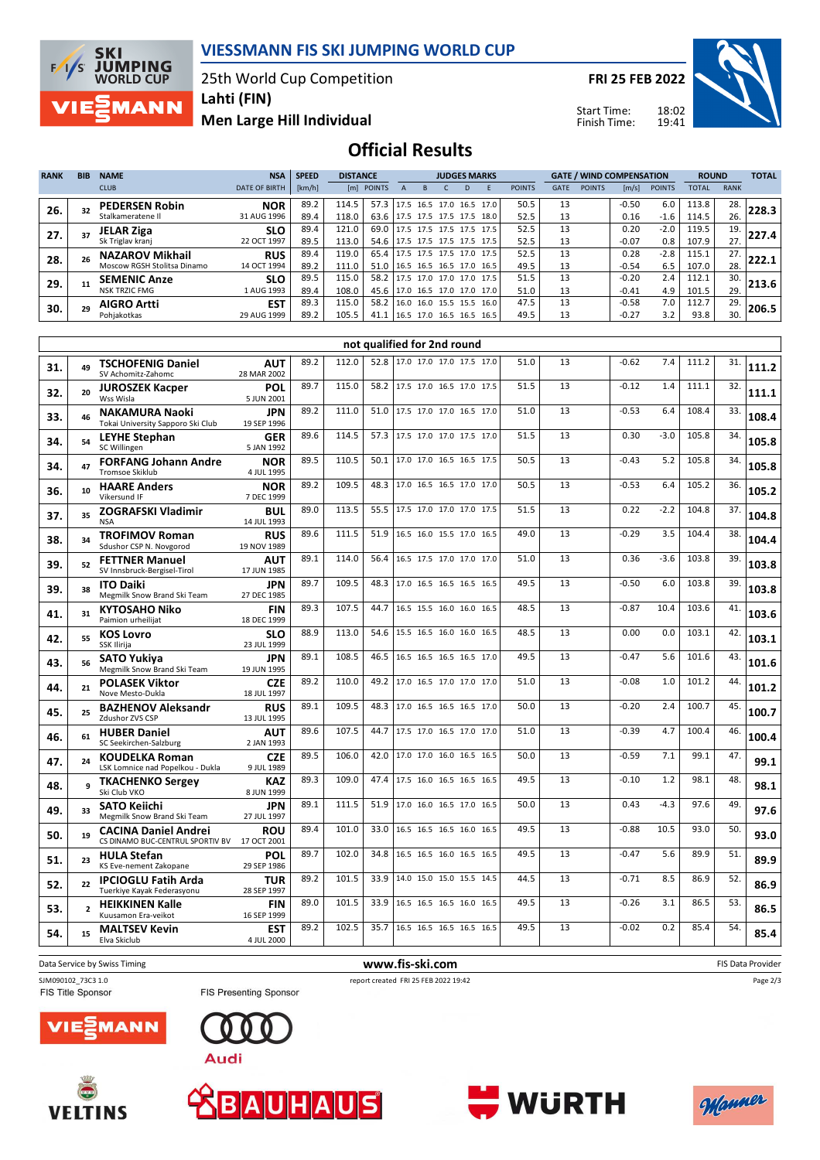

25th World Cup Competition

**FRI 25 FEB 2022**

Start Time: Finish Time:



**SKI<br>JUMPING<br>WORLD CUP**  $F/I/S$ **MANN** 

**Lahti (FIN)**

**Men Large Hill Individual**

### **Official Results**

| <b>RANK</b> | <b>BIB</b> | <b>NAME</b>                 | <b>NSA</b>           | <b>SPEED</b> | <b>DISTANCE</b> |            | <b>JUDGES MARKS</b>      |                          |  |  |                          | <b>GATE / WIND COMPENSATION</b> |             |               |         | <b>ROUND</b>  |              | <b>TOTAL</b> |       |
|-------------|------------|-----------------------------|----------------------|--------------|-----------------|------------|--------------------------|--------------------------|--|--|--------------------------|---------------------------------|-------------|---------------|---------|---------------|--------------|--------------|-------|
|             |            | <b>CLUB</b>                 | <b>DATE OF BIRTH</b> | [km/h]       |                 | [m] POINTS |                          |                          |  |  |                          | <b>POINTS</b>                   | <b>GATE</b> | <b>POINTS</b> | [m/s]   | <b>POINTS</b> | <b>TOTAL</b> | <b>RANK</b>  |       |
| 26.         |            | <b>PEDERSEN Robin</b>       | <b>NOR</b>           | 89.2         | 114.5           | 57.3       |                          |                          |  |  | 17.5 16.5 17.0 16.5 17.0 | 50.5                            | 13          |               | $-0.50$ | 6.0           | 113.8        | 28.          | 228.3 |
|             |            | Stalkameratene II           | 31 AUG 1996          | 89.4         | 118.0           | 63.6       |                          | 17.5 17.5 17.5 17.5      |  |  | 18.0                     | 52.5                            | 13          |               | 0.16    | $-1.6$        | 114.5        | 26.          |       |
| 27.         |            | JELAR Ziga                  | <b>SLO</b>           | 89.4         | 121.0           | 69.0       |                          | 17.5 17.5 17.5 17.5      |  |  | 17.5                     | 52.5                            | 13          |               | 0.20    | $-2.0$        | 119.5        | 19.          | 227.4 |
|             |            | Sk Triglav kranj            | 22 OCT 1997          | 89.5         | 113.0           | 54.6       |                          | 17.5 17.5 17.5 17.5      |  |  | 17.5                     | 52.5                            | 13          |               | $-0.07$ | 0.8           | 107.9        | 27.          |       |
| 28.         |            | <b>NAZAROV Mikhail</b>      | <b>RUS</b>           | 89.4         | 119.0           | 65.4       |                          | 17.5 17.5 17.5 17.0      |  |  | 17.5                     | 52.5                            | 13          |               | 0.28    | $-2.8$        | 115.1        | 27.          | 222.1 |
|             |            | Moscow RGSH Stolitsa Dinamo | 14 OCT 1994          | 89.2         | 111.0           | 51.0       |                          | 16.5 16.5 16.5 17.0 16.5 |  |  |                          | 49.5                            | 13          |               | $-0.54$ | 6.5           | 107.0        | 28.          |       |
| 29.         |            | <b>SEMENIC Anze</b>         | <b>SLO</b>           | 89.5         | 115.0           | 58.2       | $17.5$ 17.0 17.0 17.0    |                          |  |  | 17.5                     | 51.5                            | 13          |               | $-0.20$ | 2.4           | 112.1        | 30.          | 213.6 |
|             |            | <b>NSK TRZIC FMG</b>        | 1 AUG 1993           | 89.4         | 108.0           | 45.6       | 17.0 16.5 17.0 17.0 17.0 |                          |  |  |                          | 51.0                            | 13          |               | $-0.41$ | 4.9           | 101.5        | 29.          |       |
| 30.         | 29         | <b>AIGRO Artti</b>          | <b>EST</b>           | 89.3         | 115.0           | 58.2       |                          | 16.0 16.0 15.5 15.5      |  |  | 16.0                     | 47.5                            | 13          |               | $-0.58$ | 7.0           | 112.7        | 29.          | 206.5 |
|             |            | Pohiakotkas                 | 29 AUG 1999          | 89.2         | 105.5           | 41.1       |                          | 16.5 17.0 16.5 16.5      |  |  | 16.5                     | 49.5                            | 13          |               | $-0.27$ | 3.2           | 93.8         | 30.          |       |

|     |                          |                                                                 |                           |      |       |      | not qualified for 2nd round |      |    |         |        |       |     |       |
|-----|--------------------------|-----------------------------------------------------------------|---------------------------|------|-------|------|-----------------------------|------|----|---------|--------|-------|-----|-------|
| 31. | 49                       | <b>TSCHOFENIG Daniel</b><br>SV Achomitz-Zahomc                  | <b>AUT</b><br>28 MAR 2002 | 89.2 | 112.0 | 52.8 | 17.0 17.0 17.0 17.5 17.0    | 51.0 | 13 | $-0.62$ | 7.4    | 111.2 | 31. | 111.2 |
| 32. | 20                       | <b>JUROSZEK Kacper</b><br>Wss Wisla                             | POL<br>5 JUN 2001         | 89.7 | 115.0 | 58.2 | 17.5 17.0 16.5 17.0 17.5    | 51.5 | 13 | $-0.12$ | 1.4    | 111.1 | 32. | 111.1 |
| 33. | 46                       | <b>NAKAMURA Naoki</b><br>Tokai University Sapporo Ski Club      | <b>JPN</b><br>19 SEP 1996 | 89.2 | 111.0 | 51.0 | 17.5 17.0 17.0 16.5 17.0    | 51.0 | 13 | $-0.53$ | 6.4    | 108.4 | 33. | 108.4 |
| 34. | 54                       | <b>LEYHE Stephan</b><br>SC Willingen                            | GER<br>5 JAN 1992         | 89.6 | 114.5 | 57.3 | 17.5 17.0 17.0 17.5 17.0    | 51.5 | 13 | 0.30    | $-3.0$ | 105.8 | 34. | 105.8 |
| 34. | 47                       | <b>FORFANG Johann Andre</b><br><b>Tromsoe Skiklub</b>           | <b>NOR</b><br>4 JUL 1995  | 89.5 | 110.5 | 50.1 | 17.0 17.0 16.5 16.5 17.5    | 50.5 | 13 | $-0.43$ | 5.2    | 105.8 | 34. | 105.8 |
| 36. | 10                       | <b>HAARE Anders</b><br>Vikersund IF                             | <b>NOR</b><br>7 DEC 1999  | 89.2 | 109.5 | 48.3 | 17.0 16.5 16.5 17.0 17.0    | 50.5 | 13 | $-0.53$ | 6.4    | 105.2 | 36. | 105.2 |
| 37. | 35                       | <b>ZOGRAFSKI Vladimir</b><br><b>NSA</b>                         | <b>BUL</b><br>14 JUL 1993 | 89.0 | 113.5 | 55.5 | 17.5 17.0 17.0 17.0 17.5    | 51.5 | 13 | 0.22    | $-2.2$ | 104.8 | 37. | 104.8 |
| 38. | 34                       | <b>TROFIMOV Roman</b><br>Sdushor CSP N. Novgorod                | <b>RUS</b><br>19 NOV 1989 | 89.6 | 111.5 | 51.9 | 16.5 16.0 15.5 17.0 16.5    | 49.0 | 13 | $-0.29$ | 3.5    | 104.4 | 38. | 104.4 |
| 39. | 52                       | <b>FETTNER Manuel</b><br>SV Innsbruck-Bergisel-Tirol            | <b>AUT</b><br>17 JUN 1985 | 89.1 | 114.0 | 56.4 | 16.5 17.5 17.0 17.0 17.0    | 51.0 | 13 | 0.36    | $-3.6$ | 103.8 | 39. | 103.8 |
| 39. | 38                       | <b>ITO Daiki</b><br>Megmilk Snow Brand Ski Team                 | <b>JPN</b><br>27 DEC 1985 | 89.7 | 109.5 | 48.3 | 17.0 16.5 16.5 16.5 16.5    | 49.5 | 13 | $-0.50$ | 6.0    | 103.8 | 39. | 103.8 |
| 41. | 31                       | <b>KYTOSAHO Niko</b><br>Paimion urheilijat                      | <b>FIN</b><br>18 DEC 1999 | 89.3 | 107.5 | 44.7 | 16.5 15.5 16.0 16.0 16.5    | 48.5 | 13 | $-0.87$ | 10.4   | 103.6 | 41. | 103.6 |
| 42. | 55                       | <b>KOS Lovro</b><br>SSK Ilirija                                 | <b>SLO</b><br>23 JUL 1999 | 88.9 | 113.0 | 54.6 | 15.5 16.5 16.0 16.0 16.5    | 48.5 | 13 | 0.00    | 0.0    | 103.1 | 42. | 103.1 |
| 43. | 56                       | <b>SATO Yukiya</b><br>Megmilk Snow Brand Ski Team               | <b>JPN</b><br>19 JUN 1995 | 89.1 | 108.5 | 46.5 | 16.5 16.5 16.5 16.5 17.0    | 49.5 | 13 | $-0.47$ | 5.6    | 101.6 | 43. | 101.6 |
| 44. | 21                       | <b>POLASEK Viktor</b><br>Nove Mesto-Dukla                       | <b>CZE</b><br>18 JUL 1997 | 89.2 | 110.0 | 49.2 | 17.0 16.5 17.0 17.0 17.0    | 51.0 | 13 | $-0.08$ | 1.0    | 101.2 | 44. | 101.2 |
| 45. | 25                       | <b>BAZHENOV Aleksandr</b><br>Zdushor ZVS CSP                    | <b>RUS</b><br>13 JUL 1995 | 89.1 | 109.5 | 48.3 | 17.0 16.5 16.5 16.5 17.0    | 50.0 | 13 | $-0.20$ | 2.4    | 100.7 | 45. | 100.7 |
| 46. | 61                       | <b>HUBER Daniel</b><br>SC Seekirchen-Salzburg                   | <b>AUT</b><br>2 JAN 1993  | 89.6 | 107.5 | 44.7 | 17.5 17.0 16.5 17.0 17.0    | 51.0 | 13 | $-0.39$ | 4.7    | 100.4 | 46. | 100.4 |
| 47. | 24                       | <b>KOUDELKA Roman</b><br>LSK Lomnice nad Popelkou - Dukla       | <b>CZE</b><br>9 JUL 1989  | 89.5 | 106.0 | 42.0 | 17.0 17.0 16.0 16.5 16.5    | 50.0 | 13 | $-0.59$ | 7.1    | 99.1  | 47. | 99.1  |
| 48. | q                        | <b>TKACHENKO Sergey</b><br>Ski Club VKO                         | <b>KAZ</b><br>8 JUN 1999  | 89.3 | 109.0 | 47.4 | 17.5 16.0 16.5 16.5 16.5    | 49.5 | 13 | $-0.10$ | 1.2    | 98.1  | 48. | 98.1  |
| 49. | 33                       | <b>SATO Keiichi</b><br>Megmilk Snow Brand Ski Team              | JPN<br>27 JUL 1997        | 89.1 | 111.5 | 51.9 | 17.0 16.0 16.5 17.0 16.5    | 50.0 | 13 | 0.43    | $-4.3$ | 97.6  | 49. | 97.6  |
| 50. | 19                       | <b>CACINA Daniel Andrei</b><br>CS DINAMO BUC-CENTRUL SPORTIV BV | <b>ROU</b><br>17 OCT 2001 | 89.4 | 101.0 | 33.0 | 16.5 16.5 16.5 16.0 16.5    | 49.5 | 13 | $-0.88$ | 10.5   | 93.0  | 50. | 93.0  |
| 51. | 23                       | <b>HULA Stefan</b><br>KS Eve-nement Zakopane                    | POL<br>29 SEP 1986        | 89.7 | 102.0 | 34.8 | 16.5 16.5 16.0 16.5 16.5    | 49.5 | 13 | $-0.47$ | 5.6    | 89.9  | 51. | 89.9  |
| 52. | 22                       | <b>IPCIOGLU Fatih Arda</b><br>Tuerkiye Kayak Federasyonu        | TUR<br>28 SEP 1997        | 89.2 | 101.5 | 33.9 | 14.0 15.0 15.0 15.5 14.5    | 44.5 | 13 | $-0.71$ | 8.5    | 86.9  | 52. | 86.9  |
| 53. | $\overline{\phantom{a}}$ | <b>HEIKKINEN Kalle</b><br>Kuusamon Era-veikot                   | <b>FIN</b><br>16 SEP 1999 | 89.0 | 101.5 | 33.9 | 16.5 16.5 16.5 16.0 16.5    | 49.5 | 13 | $-0.26$ | 3.1    | 86.5  | 53. | 86.5  |
| 54. | 15                       | <b>MALTSEV Kevin</b><br>Elva Skiclub                            | <b>EST</b><br>4 JUL 2000  | 89.2 | 102.5 | 35.7 | 16.5 16.5 16.5 16.5 16.5    | 49.5 | 13 | $-0.02$ | 0.2    | 85.4  | 54. | 85.4  |
|     |                          |                                                                 |                           |      |       |      |                             |      |    |         |        |       |     |       |

Data Service by Swiss Timing **EXECUTE 2018 WWW.fis-ski.com** FIS Data Provider SJM090102\_73C3 1.0 report created FRI 25 FEB 2022 19:42<br>
FIS Title Sponsor FIS Presenting Sponsor FIS Title Sponsor FIS Presenting Sponsor

Page 2/3



**VELTINS**